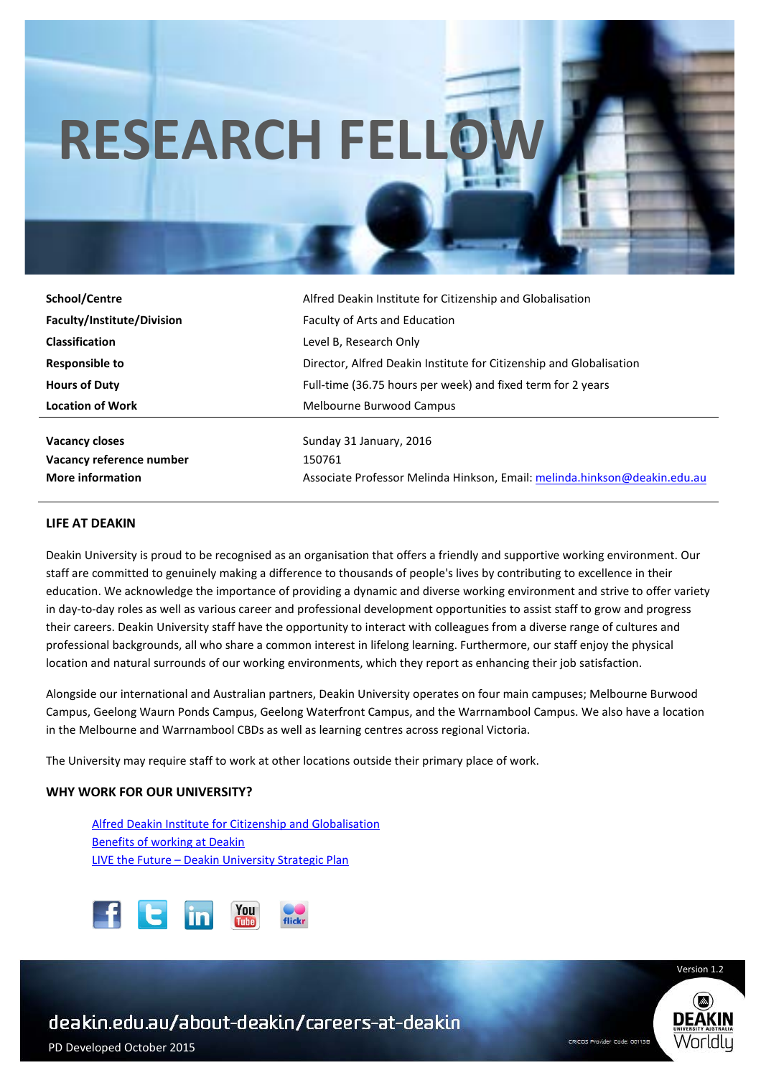# **RESEARCH FELL**

| Alfred Deakin Institute for Citizenship and Globalisation                 |
|---------------------------------------------------------------------------|
| <b>Faculty of Arts and Education</b>                                      |
| Level B, Research Only                                                    |
| Director, Alfred Deakin Institute for Citizenship and Globalisation       |
| Full-time (36.75 hours per week) and fixed term for 2 years               |
| Melbourne Burwood Campus                                                  |
|                                                                           |
| Sunday 31 January, 2016                                                   |
| 150761                                                                    |
| Associate Professor Melinda Hinkson, Email: melinda.hinkson@deakin.edu.au |
|                                                                           |

#### **LIFE AT DEAKIN**

Deakin University is proud to be recognised as an organisation that offers a friendly and supportive working environment. Our staff are committed to genuinely making a difference to thousands of people's lives by contributing to excellence in their education. We acknowledge the importance of providing a dynamic and diverse working environment and strive to offer variety in day-to-day roles as well as various career and professional development opportunities to assist staff to grow and progress their careers. Deakin University staff have the opportunity to interact with colleagues from a diverse range of cultures and professional backgrounds, all who share a common interest in lifelong learning. Furthermore, our staff enjoy the physical location and natural surrounds of our working environments, which they report as enhancing their job satisfaction.

Alongside our international and Australian partners, Deakin University operates on four main campuses; Melbourne Burwood Campus, Geelong Waurn Ponds Campus, Geelong Waterfront Campus, and the Warrnambool Campus. We also have a location in the Melbourne and Warrnambool CBDs as well as learning centres across regional Victoria.

The University may require staff to work at other locations outside their primary place of work.

# **WHY WORK FOR OUR UNIVERSITY?**

Alfred Deakin Institute for Citizenship and Globalisation Benefits of working at Deakin LIVE the Future – Deakin University Strategic Plan





Version 1.2

PD Developed October 2015

ׇ֬֕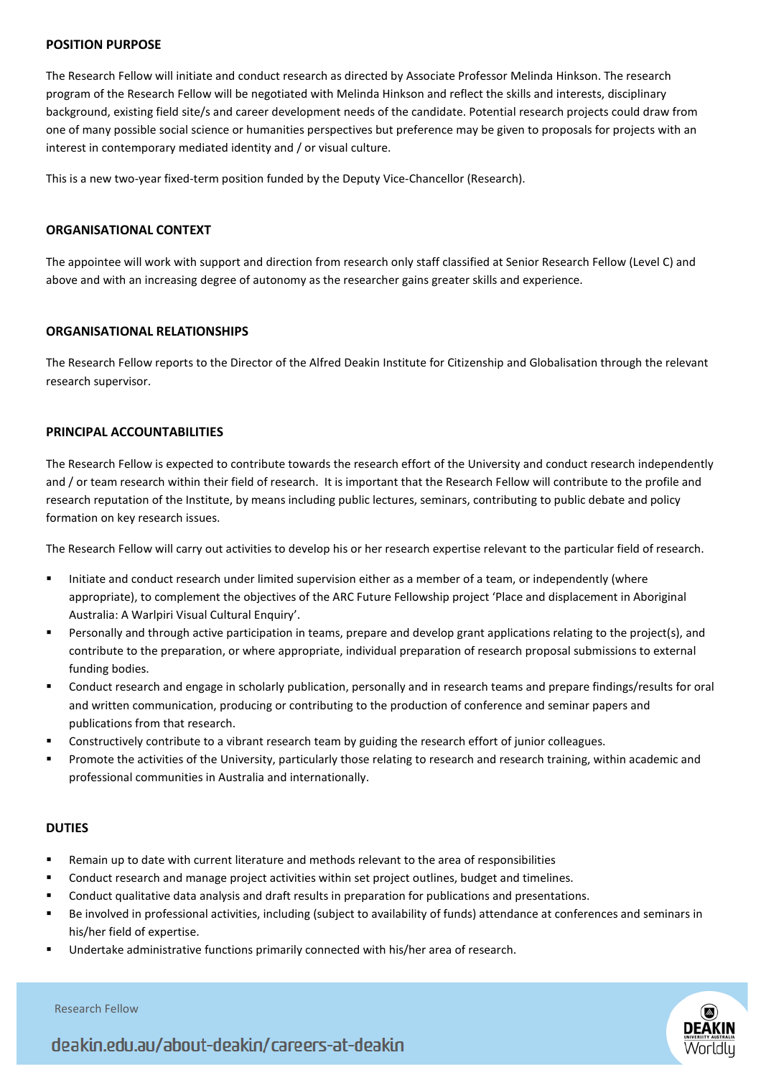#### **POSITION PURPOSE**

The Research Fellow will initiate and conduct research as directed by Associate Professor Melinda Hinkson. The research program of the Research Fellow will be negotiated with Melinda Hinkson and reflect the skills and interests, disciplinary background, existing field site/s and career development needs of the candidate. Potential research projects could draw from one of many possible social science or humanities perspectives but preference may be given to proposals for projects with an interest in contemporary mediated identity and / or visual culture.

This is a new two-year fixed-term position funded by the Deputy Vice-Chancellor (Research).

# **ORGANISATIONAL CONTEXT**

The appointee will work with support and direction from research only staff classified at Senior Research Fellow (Level C) and above and with an increasing degree of autonomy as the researcher gains greater skills and experience.

### **ORGANISATIONAL RELATIONSHIPS**

The Research Fellow reports to the Director of the Alfred Deakin Institute for Citizenship and Globalisation through the relevant research supervisor.

### **PRINCIPAL ACCOUNTABILITIES**

The Research Fellow is expected to contribute towards the research effort of the University and conduct research independently and / or team research within their field of research. It is important that the Research Fellow will contribute to the profile and research reputation of the Institute, by means including public lectures, seminars, contributing to public debate and policy formation on key research issues.

The Research Fellow will carry out activities to develop his or her research expertise relevant to the particular field of research.

- Initiate and conduct research under limited supervision either as a member of a team, or independently (where appropriate), to complement the objectives of the ARC Future Fellowship project 'Place and displacement in Aboriginal Australia: A Warlpiri Visual Cultural Enquiry'.
- Personally and through active participation in teams, prepare and develop grant applications relating to the project(s), and contribute to the preparation, or where appropriate, individual preparation of research proposal submissions to external funding bodies.
- Conduct research and engage in scholarly publication, personally and in research teams and prepare findings/results for oral and written communication, producing or contributing to the production of conference and seminar papers and publications from that research.
- Constructively contribute to a vibrant research team by guiding the research effort of junior colleagues.
- Promote the activities of the University, particularly those relating to research and research training, within academic and professional communities in Australia and internationally.

# **DUTIES**

l

- Remain up to date with current literature and methods relevant to the area of responsibilities
- Conduct research and manage project activities within set project outlines, budget and timelines.
- Conduct qualitative data analysis and draft results in preparation for publications and presentations.
- Be involved in professional activities, including (subject to availability of funds) attendance at conferences and seminars in his/her field of expertise.
- Undertake administrative functions primarily connected with his/her area of research.





deakin.edu.au/about-deakin/careers-at-deakin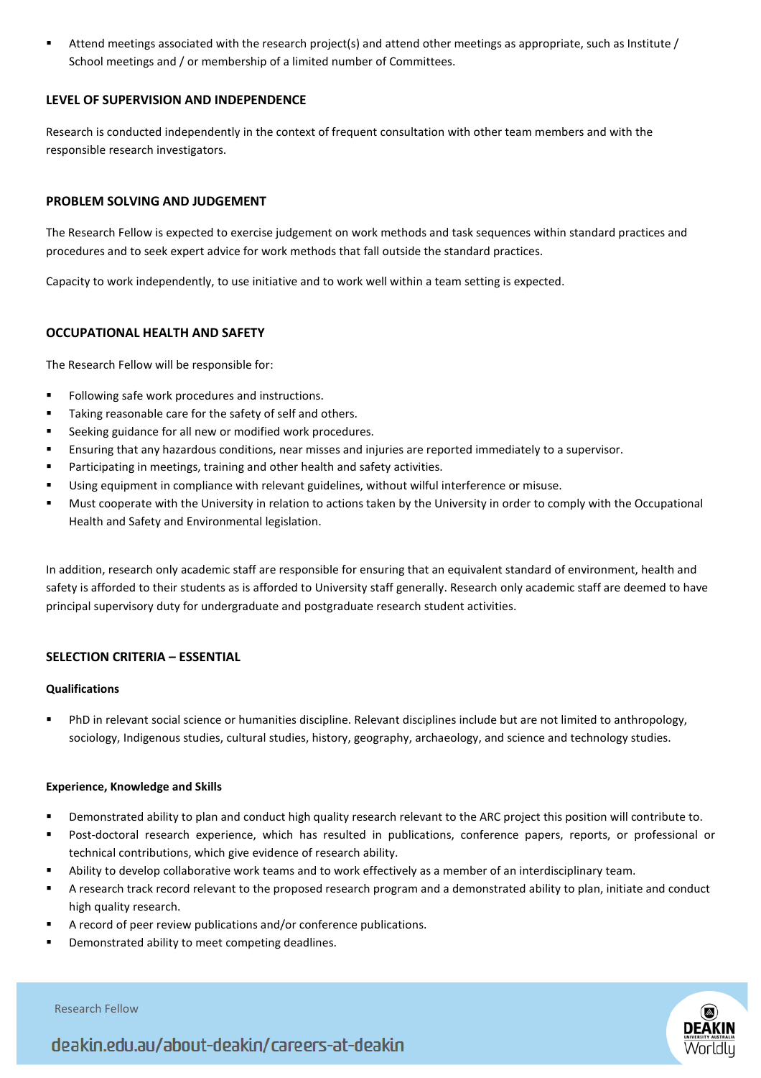Attend meetings associated with the research project(s) and attend other meetings as appropriate, such as Institute / School meetings and / or membership of a limited number of Committees.

## **LEVEL OF SUPERVISION AND INDEPENDENCE**

Research is conducted independently in the context of frequent consultation with other team members and with the responsible research investigators.

# **PROBLEM SOLVING AND JUDGEMENT**

The Research Fellow is expected to exercise judgement on work methods and task sequences within standard practices and procedures and to seek expert advice for work methods that fall outside the standard practices.

Capacity to work independently, to use initiative and to work well within a team setting is expected.

# **OCCUPATIONAL HEALTH AND SAFETY**

The Research Fellow will be responsible for:

- Following safe work procedures and instructions.
- Taking reasonable care for the safety of self and others.
- Seeking guidance for all new or modified work procedures.
- Ensuring that any hazardous conditions, near misses and injuries are reported immediately to a supervisor.
- Participating in meetings, training and other health and safety activities.
- Using equipment in compliance with relevant guidelines, without wilful interference or misuse.
- Must cooperate with the University in relation to actions taken by the University in order to comply with the Occupational Health and Safety and Environmental legislation.

In addition, research only academic staff are responsible for ensuring that an equivalent standard of environment, health and safety is afforded to their students as is afforded to University staff generally. Research only academic staff are deemed to have principal supervisory duty for undergraduate and postgraduate research student activities.

### **SELECTION CRITERIA – ESSENTIAL**

### **Qualifications**

 PhD in relevant social science or humanities discipline. Relevant disciplines include but are not limited to anthropology, sociology, Indigenous studies, cultural studies, history, geography, archaeology, and science and technology studies.

### **Experience, Knowledge and Skills**

- Demonstrated ability to plan and conduct high quality research relevant to the ARC project this position will contribute to.
- Post-doctoral research experience, which has resulted in publications, conference papers, reports, or professional or technical contributions, which give evidence of research ability.
- Ability to develop collaborative work teams and to work effectively as a member of an interdisciplinary team.
- A research track record relevant to the proposed research program and a demonstrated ability to plan, initiate and conduct high quality research.
- A record of peer review publications and/or conference publications.
- Demonstrated ability to meet competing deadlines.



l



deakin.edu.au/about-deakin/careers-at-deakin